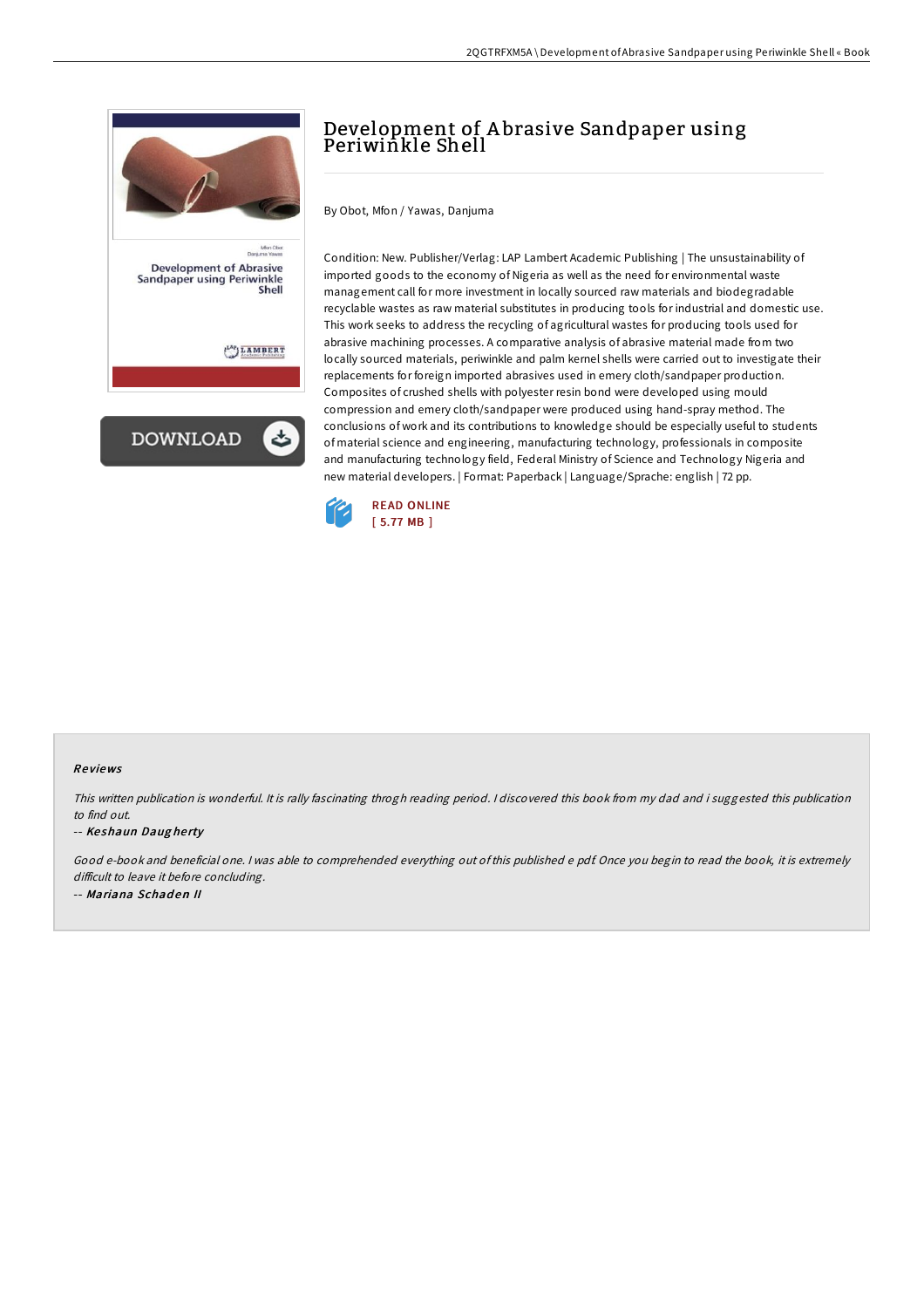

# Development of A brasive Sandpaper using Periwinkle Shell

By Obot, Mfon / Yawas, Danjuma

Condition: New. Publisher/Verlag: LAP Lambert Academic Publishing | The unsustainability of imported goods to the economy of Nigeria as well as the need for environmental waste management call for more investment in locally sourced raw materials and biodegradable recyclable wastes as raw material substitutes in producing tools for industrial and domestic use. This work seeks to address the recycling of agricultural wastes for producing tools used for abrasive machining processes. A comparative analysis of abrasive material made from two locally sourced materials, periwinkle and palm kernel shells were carried out to investigate their replacements for foreign imported abrasives used in emery cloth/sandpaper production. Composites of crushed shells with polyester resin bond were developed using mould compression and emery cloth/sandpaper were produced using hand-spray method. The conclusions of work and its contributions to knowledge should be especially useful to students of material science and engineering, manufacturing technology, professionals in composite and manufacturing technology field, Federal Ministry of Science and Technology Nigeria and new material developers. | Format: Paperback | Language/Sprache: english | 72 pp.



#### Re views

This written publication is wonderful. It is rally fascinating throgh reading period. <sup>I</sup> discovered this book from my dad and i suggested this publication to find out.

#### -- Keshaun Daugherty

Good e-book and beneficial one. <sup>I</sup> was able to comprehended everything out of this published <sup>e</sup> pdf. Once you begin to read the book, it is extremely difficult to leave it before concluding. -- Mariana Schaden II